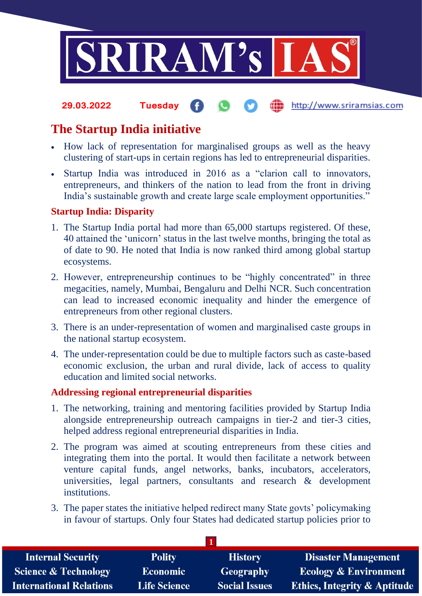

### the http://www.sriramsias.com **29.03.2022 Tuesday**

# **The Startup India initiative**

- How lack of representation for marginalised groups as well as the heavy clustering of start-ups in certain regions has led to entrepreneurial disparities.
- Startup India was introduced in 2016 as a "clarion call to innovators, entrepreneurs, and thinkers of the nation to lead from the front in driving India's sustainable growth and create large scale employment opportunities."

## **Startup India: Disparity**

- 1. The Startup India portal had more than 65,000 startups registered. Of these, 40 attained the 'unicorn' status in the last twelve months, bringing the total as of date to 90. He noted that India is now ranked third among global startup ecosystems.
- 2. However, entrepreneurship continues to be "highly concentrated" in three megacities, namely, Mumbai, Bengaluru and Delhi NCR. Such concentration can lead to increased economic inequality and hinder the emergence of entrepreneurs from other regional clusters.
- 3. There is an under-representation of women and marginalised caste groups in the national startup ecosystem.
- 4. The under-representation could be due to multiple factors such as caste-based economic exclusion, the urban and rural divide, lack of access to quality education and limited social networks.

### **Addressing regional entrepreneurial disparities**

- 1. The networking, training and mentoring facilities provided by Startup India alongside entrepreneurship outreach campaigns in tier-2 and tier-3 cities, helped address regional entrepreneurial disparities in India.
- 2. The program was aimed at scouting entrepreneurs from these cities and integrating them into the portal. It would then facilitate a network between venture capital funds, angel networks, banks, incubators, accelerators, universities, legal partners, consultants and research & development institutions.
- 3. The paper states the initiative helped redirect many State govts' policymaking in favour of startups. Only four States had dedicated startup policies prior to

| <b>Internal Security</b>        | <b>Polity</b>       | <b>History</b>       | <b>Disaster Management</b>              |
|---------------------------------|---------------------|----------------------|-----------------------------------------|
| <b>Science &amp; Technology</b> | <b>Economic</b>     | Geography            | <b>Ecology &amp; Environment</b>        |
| International Relations         | <b>Life Science</b> | <b>Social Issues</b> | <b>Ethics, Integrity &amp; Aptitude</b> |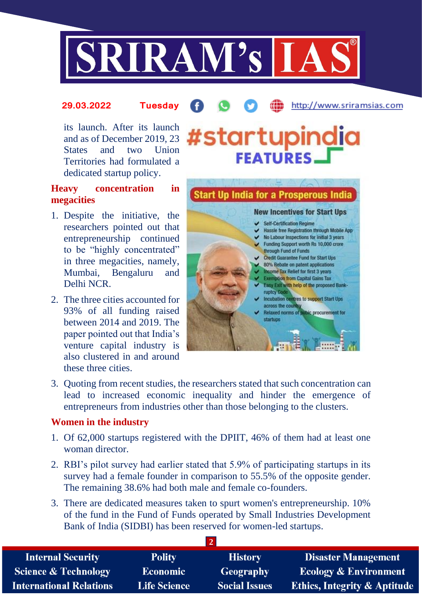

#### http://www.sriramsias.com **29.03.2022 Tuesday**

its launch. After its launch and as of December 2019, 23 States and two Union Territories had formulated a dedicated startup policy.

# **Heavy concentration in megacities**

- 1. Despite the initiative, the researchers pointed out that entrepreneurship continued to be "highly concentrated" in three megacities, namely, Mumbai, Bengaluru and Delhi NCR.
- 2. The three cities accounted for 93% of all funding raised between 2014 and 2019. The paper pointed out that India's venture capital industry is also clustered in and around these three cities.



#startupindia

**FEATURES.** 

3. Quoting from recent studies, the researchers stated that such concentration can lead to increased economic inequality and hinder the emergence of entrepreneurs from industries other than those belonging to the clusters.

### **Women in the industry**

- 1. Of 62,000 startups registered with the DPIIT, 46% of them had at least one woman director.
- 2. RBI's pilot survey had earlier stated that 5.9% of participating startups in its survey had a female founder in comparison to 55.5% of the opposite gender. The remaining 38.6% had both male and female co-founders.
- 3. There are dedicated measures taken to spurt women's entrepreneurship. 10% of the fund in the Fund of Funds operated by Small Industries Development Bank of India (SIDBI) has been reserved for women-led startups.

**2**

| <b>Internal Security</b>        | <b>Polity</b>       | <b>History</b>       | <b>Disaster Management</b>              |  |  |  |
|---------------------------------|---------------------|----------------------|-----------------------------------------|--|--|--|
| <b>Science &amp; Technology</b> | <b>Economic</b>     | Geography            | <b>Ecology &amp; Environment</b>        |  |  |  |
| <b>International Relations</b>  | <b>Life Science</b> | <b>Social Issues</b> | <b>Ethics, Integrity &amp; Aptitude</b> |  |  |  |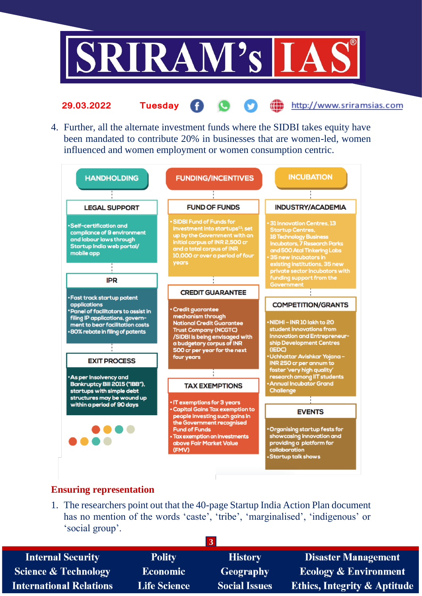

- æ  $\bullet$ http://www.sriramsias.com G. **29.03.2022 Tuesday**
- 4. Further, all the alternate investment funds where the SIDBI takes equity have been mandated to contribute 20% in businesses that are women-led, women influenced and women employment or women consumption centric.



### **Ensuring representation**

1. The researchers point out that the 40-page Startup India Action Plan document has no mention of the words 'caste', 'tribe', 'marginalised', 'indigenous' or 'social group'.

| <b>Internal Security</b>        | <b>Polity</b>       | <b>History</b>       | <b>Disaster Management</b>              |
|---------------------------------|---------------------|----------------------|-----------------------------------------|
| <b>Science &amp; Technology</b> | <b>Economic</b>     | <b>Geography</b>     | <b>Ecology &amp; Environment</b>        |
| <b>International Relations</b>  | <b>Life Science</b> | <b>Social Issues</b> | <b>Ethics, Integrity &amp; Aptitude</b> |
|                                 |                     |                      |                                         |